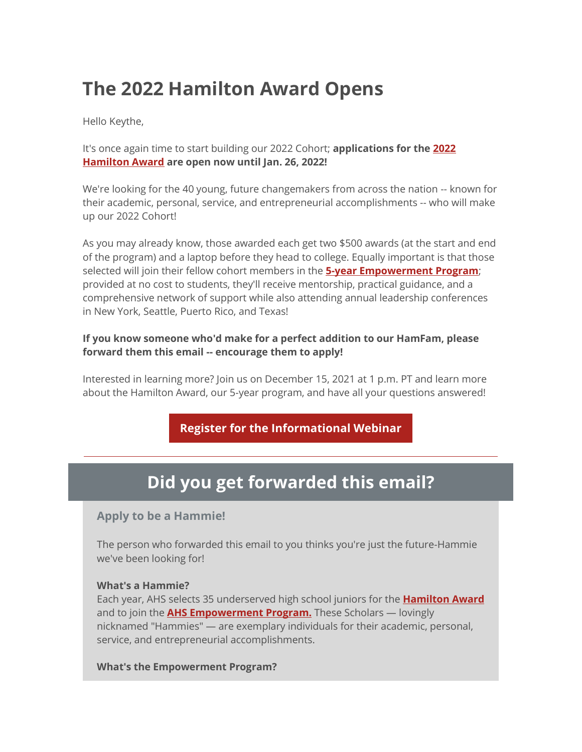# **The 2022 Hamilton Award Opens**

Hello Keythe,

It's once again time to start building our 2022 Cohort; **applications for the [2022](https://nam02.safelinks.protection.outlook.com/?url=https%3A%2F%2Fr20.rs6.net%2Ftn.jsp%3Ff%3D001RV4MxtPKB9T69AiGBNx5278DtgGVUAF0qwbDbAeLqJnWuK30-KxuG4XSCQ54LIGdJk56jdBgfwXt_uDO1TJ0xSsYY3zaFuVHcr97m5bxauzbrJD4tY-TLdWGkAR3HZ_LKAZ3OLkSUw8iAoMH2DmSOEbgLR2q_vbN%26c%3D3HMqnxrFFhRtYdw6VhYxfB6FsmKfk5o7Av6bjmZKcD45pWH6Ur90DA%3D%3D%26ch%3DxJfgnnklG9gP-zAnEMN73Wy3qaGJRayrxDOT8rP-U6zURICh-3pvgw%3D%3D&data=04%7C01%7Ckeythe.flaagan%40k12.nd.us%7Cdbed7cd7fec14b5153c408d9a0f649f0%7Cdbbf782acef14af186c81f9201061db6%7C0%7C0%7C637717801956991862%7CUnknown%7CTWFpbGZsb3d8eyJWIjoiMC4wLjAwMDAiLCJQIjoiV2luMzIiLCJBTiI6Ik1haWwiLCJXVCI6Mn0%3D%7C1000&sdata=UbKI9oIXjlZ4aPWl%2F3nfmpK1GFJhK3rJFi9w1AGhrLI%3D&reserved=0)  [Hamilton Award](https://nam02.safelinks.protection.outlook.com/?url=https%3A%2F%2Fr20.rs6.net%2Ftn.jsp%3Ff%3D001RV4MxtPKB9T69AiGBNx5278DtgGVUAF0qwbDbAeLqJnWuK30-KxuG4XSCQ54LIGdJk56jdBgfwXt_uDO1TJ0xSsYY3zaFuVHcr97m5bxauzbrJD4tY-TLdWGkAR3HZ_LKAZ3OLkSUw8iAoMH2DmSOEbgLR2q_vbN%26c%3D3HMqnxrFFhRtYdw6VhYxfB6FsmKfk5o7Av6bjmZKcD45pWH6Ur90DA%3D%3D%26ch%3DxJfgnnklG9gP-zAnEMN73Wy3qaGJRayrxDOT8rP-U6zURICh-3pvgw%3D%3D&data=04%7C01%7Ckeythe.flaagan%40k12.nd.us%7Cdbed7cd7fec14b5153c408d9a0f649f0%7Cdbbf782acef14af186c81f9201061db6%7C0%7C0%7C637717801956991862%7CUnknown%7CTWFpbGZsb3d8eyJWIjoiMC4wLjAwMDAiLCJQIjoiV2luMzIiLCJBTiI6Ik1haWwiLCJXVCI6Mn0%3D%7C1000&sdata=UbKI9oIXjlZ4aPWl%2F3nfmpK1GFJhK3rJFi9w1AGhrLI%3D&reserved=0) are open now until Jan. 26, 2022!**

We're looking for the 40 young, future changemakers from across the nation -- known for their academic, personal, service, and entrepreneurial accomplishments -- who will make up our 2022 Cohort!

As you may already know, those awarded each get two \$500 awards (at the start and end of the program) and a laptop before they head to college. Equally important is that those selected will join their fellow cohort members in the **[5-year Empowerment Program](https://nam02.safelinks.protection.outlook.com/?url=https%3A%2F%2Fr20.rs6.net%2Ftn.jsp%3Ff%3D001RV4MxtPKB9T69AiGBNx5278DtgGVUAF0qwbDbAeLqJnWuK30-KxuG_JnibEwIdl8BoFSb-jvVoTUTlLa8cxI-EcBQ-LuTop44gH_IdeBJnbr4inzHCFhp6Gb-l-HkZbzBb29MlNGdF23t_0lRr34I1oQznBJ7X-oqi2OxlbrCSk%3D%26c%3D3HMqnxrFFhRtYdw6VhYxfB6FsmKfk5o7Av6bjmZKcD45pWH6Ur90DA%3D%3D%26ch%3DxJfgnnklG9gP-zAnEMN73Wy3qaGJRayrxDOT8rP-U6zURICh-3pvgw%3D%3D&data=04%7C01%7Ckeythe.flaagan%40k12.nd.us%7Cdbed7cd7fec14b5153c408d9a0f649f0%7Cdbbf782acef14af186c81f9201061db6%7C0%7C0%7C637717801957001857%7CUnknown%7CTWFpbGZsb3d8eyJWIjoiMC4wLjAwMDAiLCJQIjoiV2luMzIiLCJBTiI6Ik1haWwiLCJXVCI6Mn0%3D%7C1000&sdata=uSOPNAuhZxjWBRqUPr24DWcx6bTGVIcLv9p%2FumcadIw%3D&reserved=0)**; provided at no cost to students, they'll receive mentorship, practical guidance, and a comprehensive network of support while also attending annual leadership conferences in New York, Seattle, Puerto Rico, and Texas!

### **If you know someone who'd make for a perfect addition to our HamFam, please forward them this email -- encourage them to apply!**

Interested in learning more? Join us on December 15, 2021 at 1 p.m. PT and learn more about the Hamilton Award, our 5-year program, and have all your questions answered!

**[Register for the Informational Webinar](https://nam02.safelinks.protection.outlook.com/?url=https%3A%2F%2Fr20.rs6.net%2Ftn.jsp%3Ff%3D001RV4MxtPKB9T69AiGBNx5278DtgGVUAF0qwbDbAeLqJnWuK30-KxuG_JnibEwIdl81hDN61G4hDugyBfgB-yhJEtYJk-4LjZyqLMrOQ9WanC9nuyt23tp5ANsaVgSF-gDKdoF3AUvpjsVLWfnTryEy9ZZU_3dsSVzw4jioNAJR5usWauG3NCHFjkf16S4MxadeLl5qRzOneAI7rihLWUXMctRmA1lqT6a%26c%3D3HMqnxrFFhRtYdw6VhYxfB6FsmKfk5o7Av6bjmZKcD45pWH6Ur90DA%3D%3D%26ch%3DxJfgnnklG9gP-zAnEMN73Wy3qaGJRayrxDOT8rP-U6zURICh-3pvgw%3D%3D&data=04%7C01%7Ckeythe.flaagan%40k12.nd.us%7Cdbed7cd7fec14b5153c408d9a0f649f0%7Cdbbf782acef14af186c81f9201061db6%7C0%7C0%7C637717801957011855%7CUnknown%7CTWFpbGZsb3d8eyJWIjoiMC4wLjAwMDAiLCJQIjoiV2luMzIiLCJBTiI6Ik1haWwiLCJXVCI6Mn0%3D%7C1000&sdata=AvJaY5pP6ijaQxP7IBear80nPHdhQlLNwFpKwNSPuYY%3D&reserved=0)**

## **Did you get forwarded this email?**

## **Apply to be a Hammie!**

The person who forwarded this email to you thinks you're just the future-Hammie we've been looking for!

#### **What's a Hammie?**

Each year, AHS selects 35 underserved high school juniors for the **[Hamilton Award](https://nam02.safelinks.protection.outlook.com/?url=https%3A%2F%2Fr20.rs6.net%2Ftn.jsp%3Ff%3D001RV4MxtPKB9T69AiGBNx5278DtgGVUAF0qwbDbAeLqJnWuK30-KxuGz7tGjvgHjk2zlxYRIzDwtRO4DoQ6nKUijQD7m5dWwX8oUlKMZaUifNHpqOjyTUd55DWwWhQVmb9isLC9DoeW0mINVU98RdDCNy8wnUZvVtB%26c%3D3HMqnxrFFhRtYdw6VhYxfB6FsmKfk5o7Av6bjmZKcD45pWH6Ur90DA%3D%3D%26ch%3DxJfgnnklG9gP-zAnEMN73Wy3qaGJRayrxDOT8rP-U6zURICh-3pvgw%3D%3D&data=04%7C01%7Ckeythe.flaagan%40k12.nd.us%7Cdbed7cd7fec14b5153c408d9a0f649f0%7Cdbbf782acef14af186c81f9201061db6%7C0%7C0%7C637717801957011855%7CUnknown%7CTWFpbGZsb3d8eyJWIjoiMC4wLjAwMDAiLCJQIjoiV2luMzIiLCJBTiI6Ik1haWwiLCJXVCI6Mn0%3D%7C1000&sdata=F7LprU6bs1ltcM%2BFjAS7EcXNWs4gy6H4ogxo9fYt5Bo%3D&reserved=0)** and to join the **[AHS Empowerment](https://nam02.safelinks.protection.outlook.com/?url=https%3A%2F%2Fr20.rs6.net%2Ftn.jsp%3Ff%3D001RV4MxtPKB9T69AiGBNx5278DtgGVUAF0qwbDbAeLqJnWuK30-KxuGznJ_s4jdyPmn-gYNuGrS0ssEd2r82k1r-IOyJg3OfSH2jYOQ8QQILGOOlsuhvBgZ6K4tNIxC1Kj0LMQQOEerU250JI3TqzLptzSKvvfsO2pngFyn4euSR2yRNE0wbtHVA%3D%3D%26c%3D3HMqnxrFFhRtYdw6VhYxfB6FsmKfk5o7Av6bjmZKcD45pWH6Ur90DA%3D%3D%26ch%3DxJfgnnklG9gP-zAnEMN73Wy3qaGJRayrxDOT8rP-U6zURICh-3pvgw%3D%3D&data=04%7C01%7Ckeythe.flaagan%40k12.nd.us%7Cdbed7cd7fec14b5153c408d9a0f649f0%7Cdbbf782acef14af186c81f9201061db6%7C0%7C0%7C637717801957021847%7CUnknown%7CTWFpbGZsb3d8eyJWIjoiMC4wLjAwMDAiLCJQIjoiV2luMzIiLCJBTiI6Ik1haWwiLCJXVCI6Mn0%3D%7C1000&sdata=xVkIOJBzIaigvoCKdcqv8n%2BSY%2BBhoNwYvwjhrznchBk%3D&reserved=0) Program.** These Scholars — lovingly nicknamed "Hammies" — are exemplary individuals for their academic, personal, service, and entrepreneurial accomplishments.

#### **What's the Empowerment Program?**